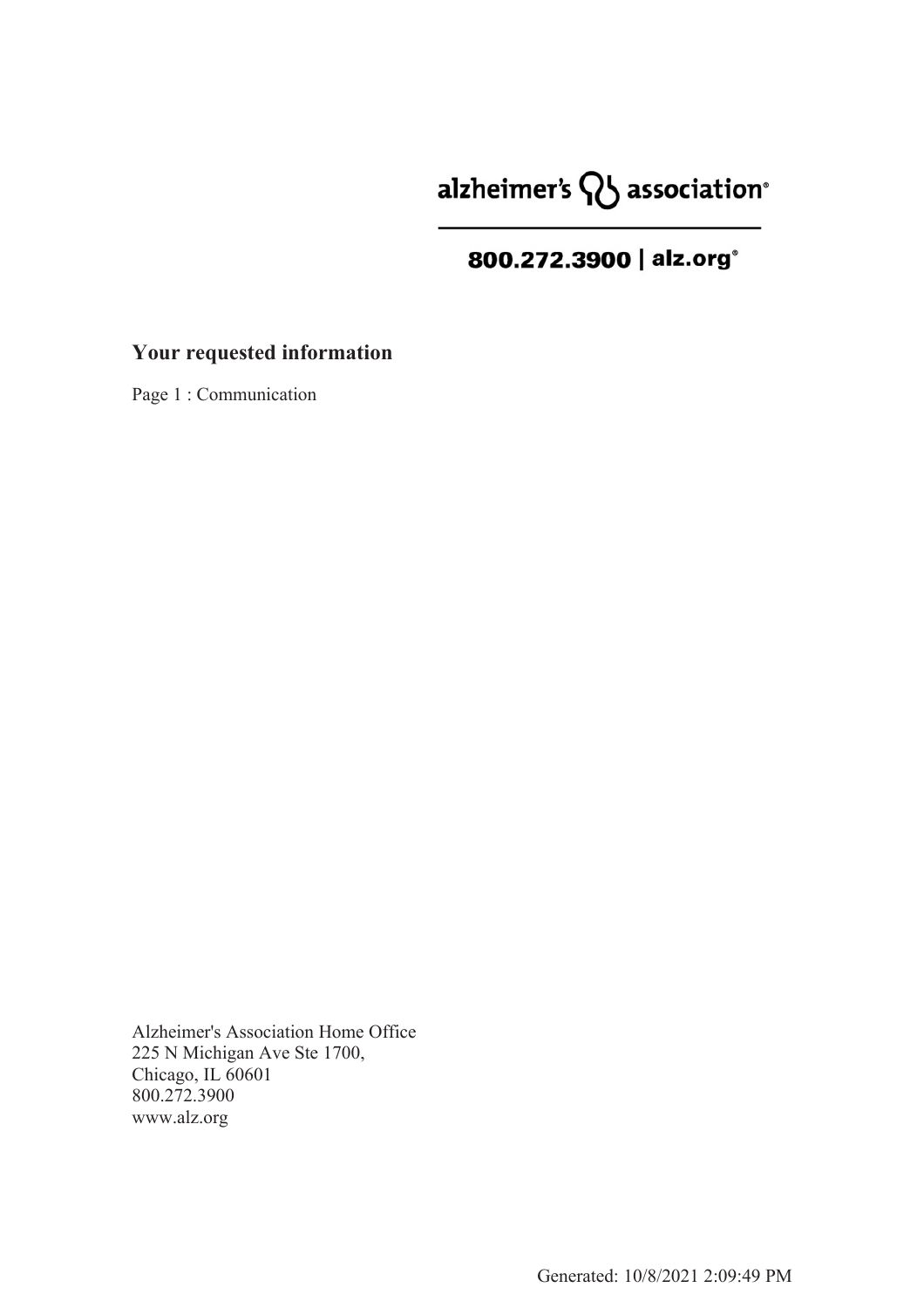# alzheimer's  $\mathsf{Q}$  association<sup>®</sup>

## 800.272.3900 | alz.org<sup>®</sup>

### **Your requested information**

Page 1 : Communication

Alzheimer's Association Home Office 225 N Michigan Ave Ste 1700, Chicago, IL 60601 800.272.3900 www.alz.org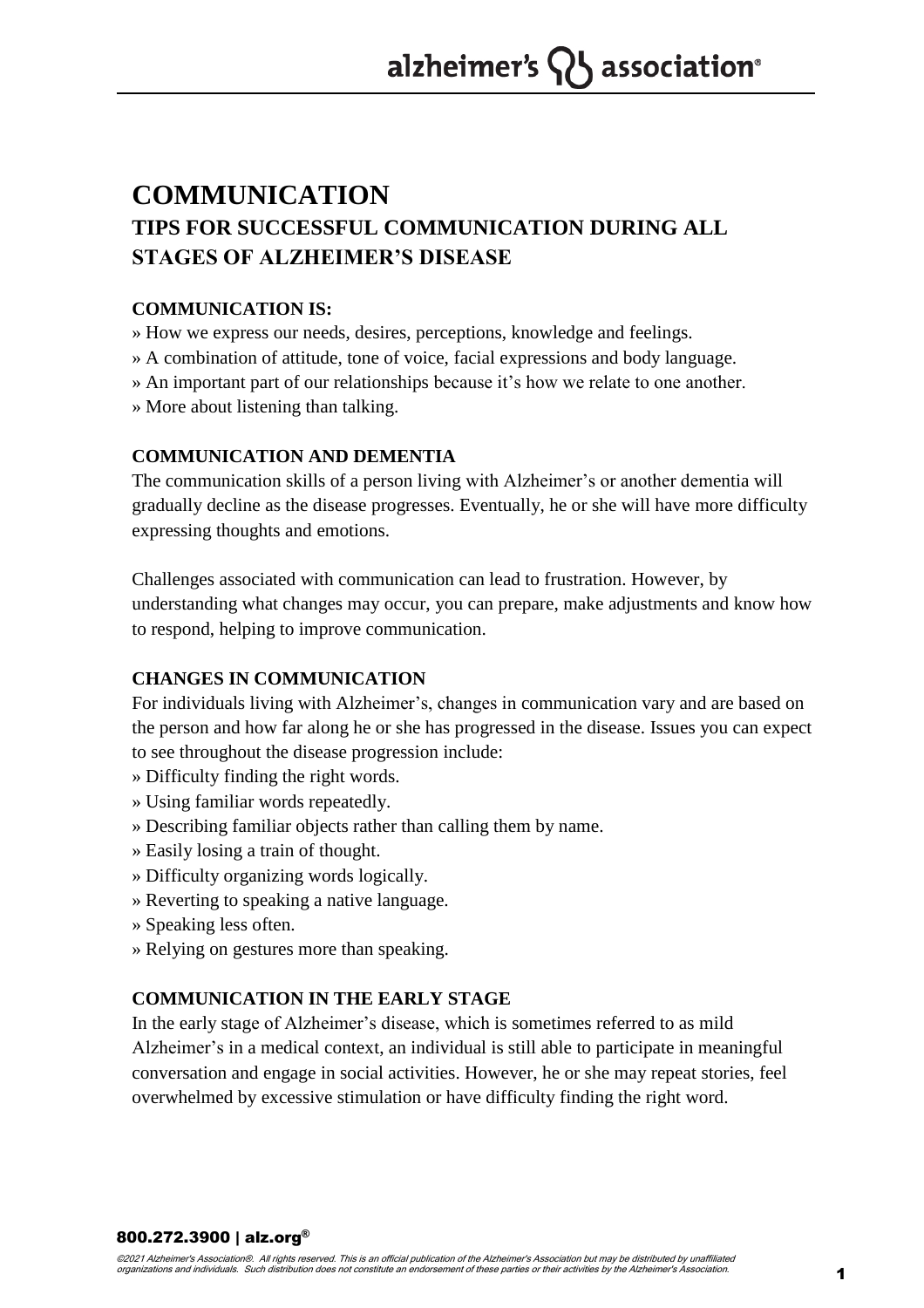### **COMMUNICATION TIPS FOR SUCCESSFUL COMMUNICATION DURING ALL STAGES OF ALZHEIMER'S DISEASE**

#### **COMMUNICATION IS:**

» How we express our needs, desires, perceptions, knowledge and feelings.

- » A combination of attitude, tone of voice, facial expressions and body language.
- » An important part of our relationships because it's how we relate to one another.
- » More about listening than talking.

#### **COMMUNICATION AND DEMENTIA**

The communication skills of a person living with Alzheimer's or another dementia will gradually decline as the disease progresses. Eventually, he or she will have more difficulty expressing thoughts and emotions.

Challenges associated with communication can lead to frustration. However, by understanding what changes may occur, you can prepare, make adjustments and know how to respond, helping to improve communication.

#### **CHANGES IN COMMUNICATION**

For individuals living with Alzheimer's, changes in communication vary and are based on the person and how far along he or she has progressed in the disease. Issues you can expect to see throughout the disease progression include:

- » Difficulty finding the right words.
- » Using familiar words repeatedly.
- » Describing familiar objects rather than calling them by name.
- » Easily losing a train of thought.
- » Difficulty organizing words logically.
- » Reverting to speaking a native language.
- » Speaking less often.
- » Relying on gestures more than speaking.

#### **COMMUNICATION IN THE EARLY STAGE**

In the early stage of Alzheimer's disease, which is sometimes referred to as mild Alzheimer's in a medical context, an individual is still able to participate in meaningful conversation and engage in social activities. However, he or she may repeat stories, feel overwhelmed by excessive stimulation or have difficulty finding the right word.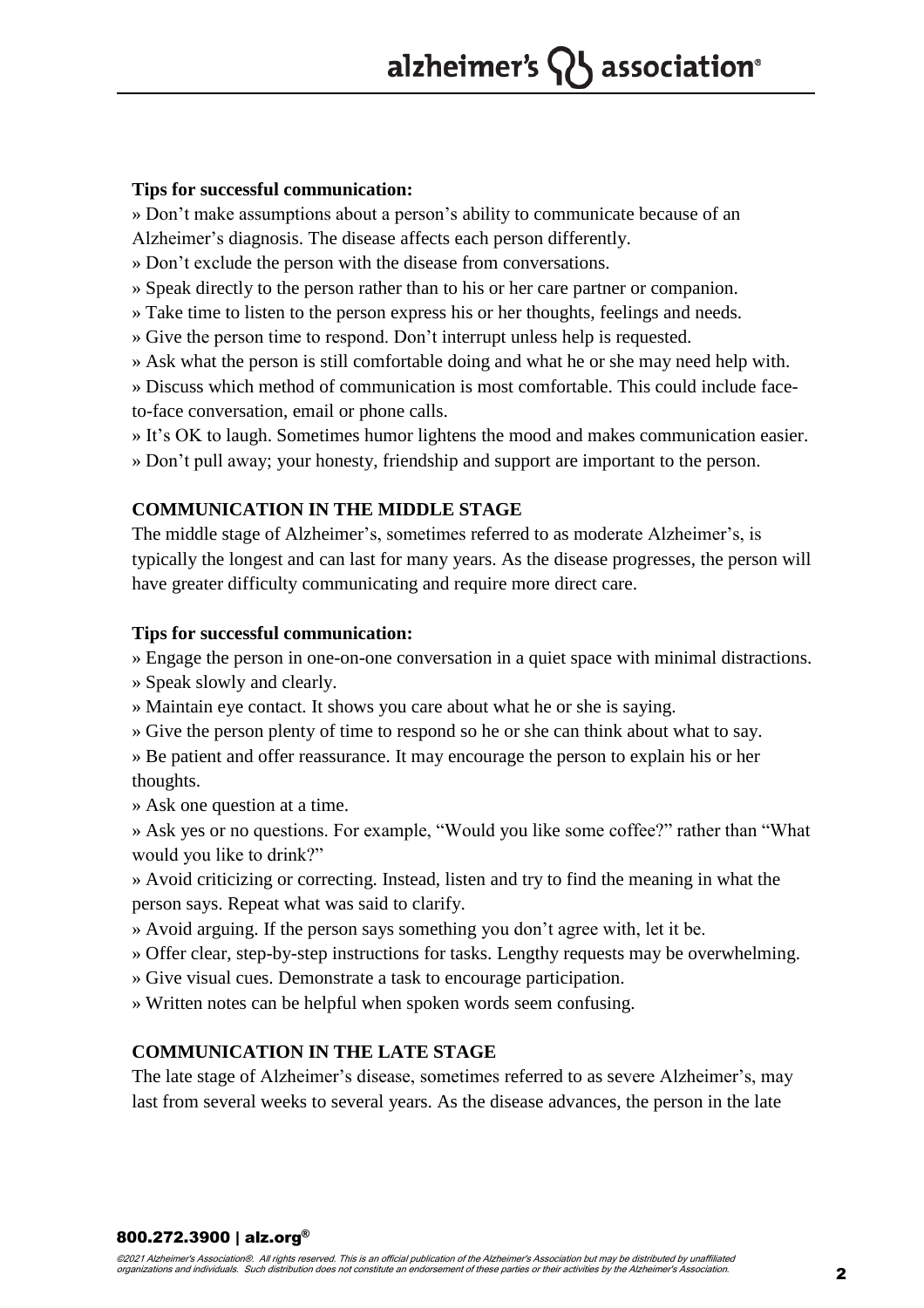#### **Tips for successful communication:**

» Don't make assumptions about a person's ability to communicate because of an

Alzheimer's diagnosis. The disease affects each person differently.

» Don't exclude the person with the disease from conversations.

» Speak directly to the person rather than to his or her care partner or companion.

» Take time to listen to the person express his or her thoughts, feelings and needs.

» Give the person time to respond. Don't interrupt unless help is requested.

» Ask what the person is still comfortable doing and what he or she may need help with.

» Discuss which method of communication is most comfortable. This could include faceto-face conversation, email or phone calls.

» It's OK to laugh. Sometimes humor lightens the mood and makes communication easier.

» Don't pull away; your honesty, friendship and support are important to the person.

#### **COMMUNICATION IN THE MIDDLE STAGE**

The middle stage of Alzheimer's, sometimes referred to as moderate Alzheimer's, is typically the longest and can last for many years. As the disease progresses, the person will have greater difficulty communicating and require more direct care.

#### **Tips for successful communication:**

» Engage the person in one-on-one conversation in a quiet space with minimal distractions.

» Speak slowly and clearly.

» Maintain eye contact. It shows you care about what he or she is saying.

» Give the person plenty of time to respond so he or she can think about what to say.

» Be patient and offer reassurance. It may encourage the person to explain his or her thoughts.

» Ask one question at a time.

» Ask yes or no questions. For example, "Would you like some coffee?" rather than "What would you like to drink?"

» Avoid criticizing or correcting. Instead, listen and try to find the meaning in what the person says. Repeat what was said to clarify.

» Avoid arguing. If the person says something you don't agree with, let it be.

» Offer clear, step-by-step instructions for tasks. Lengthy requests may be overwhelming.

» Give visual cues. Demonstrate a task to encourage participation.

» Written notes can be helpful when spoken words seem confusing.

#### **COMMUNICATION IN THE LATE STAGE**

The late stage of Alzheimer's disease, sometimes referred to as severe Alzheimer's, may last from several weeks to several years. As the disease advances, the person in the late